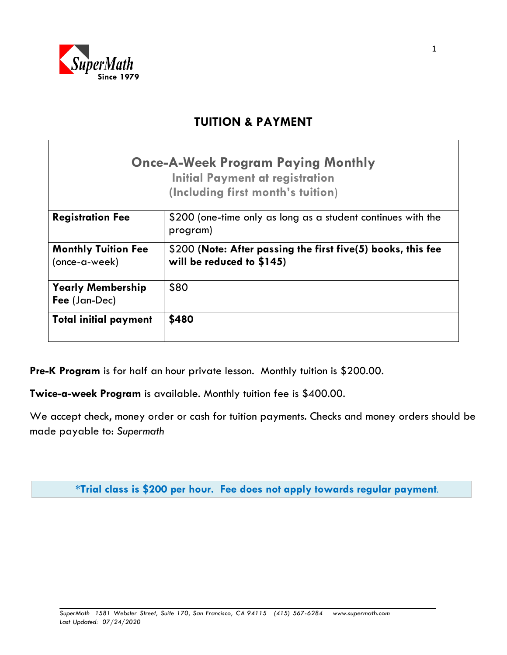

# **TUITION & PAYMENT**

|                                             | <b>Once-A-Week Program Paying Monthly</b><br><b>Initial Payment at registration</b><br>(Including first month's tuition) |
|---------------------------------------------|--------------------------------------------------------------------------------------------------------------------------|
| <b>Registration Fee</b>                     | \$200 (one-time only as long as a student continues with the<br>program)                                                 |
| <b>Monthly Tuition Fee</b><br>(once-a-week) | \$200 (Note: After passing the first five(5) books, this fee<br>will be reduced to \$145)                                |
| <b>Yearly Membership</b><br>Fee (Jan-Dec)   | \$80                                                                                                                     |
| <b>Total initial payment</b>                | \$480                                                                                                                    |

**Pre-K Program** is for half an hour private lesson. Monthly tuition is \$200.00.

**Twice-a-week Program** is available. Monthly tuition fee is \$400.00.

We accept check, money order or cash for tuition payments. Checks and money orders should be made payable to: *Supermath*

**\*Trial class is \$200 per hour. Fee does not apply towards regular payment**.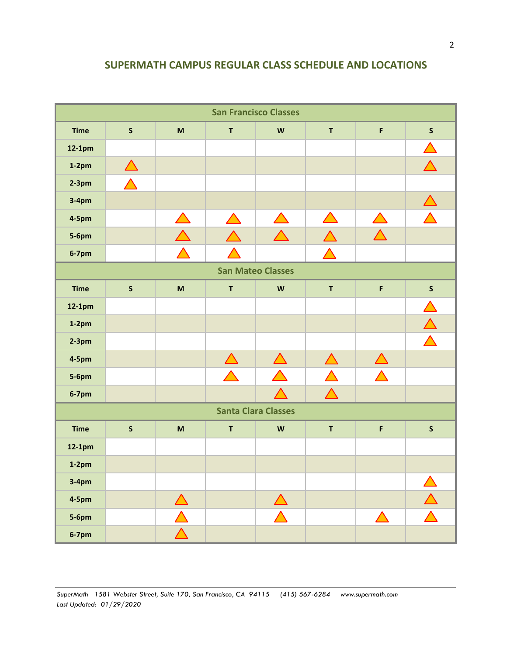## **SUPERMATH CAMPUS REGULAR CLASS SCHEDULE AND LOCATIONS**

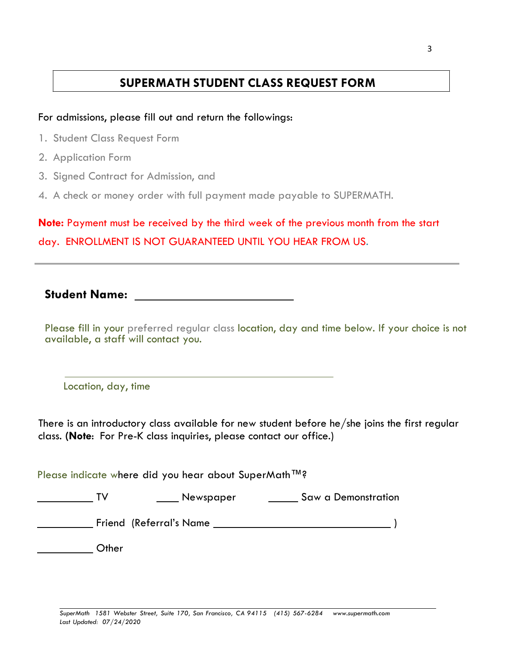## **SUPERMATH STUDENT CLASS REQUEST FORM**

### For admissions, please fill out and return the followings:

- 1. Student Class Request Form
- 2. Application Form
- 3. Signed Contract for Admission, and
- 4. A check or money order with full payment made payable to SUPERMATH.

**Note:** Payment must be received by the third week of the previous month from the start day. ENROLLMENT IS NOT GUARANTEED UNTIL YOU HEAR FROM US.

**Student Name:** 

Please fill in your preferred regular class location, day and time below. If your choice is not available, a staff will contact you.

Location, day, time

There is an introductory class available for new student before he/she joins the first regular class. **(Note**: For Pre-K class inquiries, please contact our office.)

Please indicate where did you hear about SuperMath™?

| ιv           | <b>Newspaper</b>         | Saw a Demonstration |
|--------------|--------------------------|---------------------|
|              | Friend (Referral's Name) |                     |
| <b>Other</b> |                          |                     |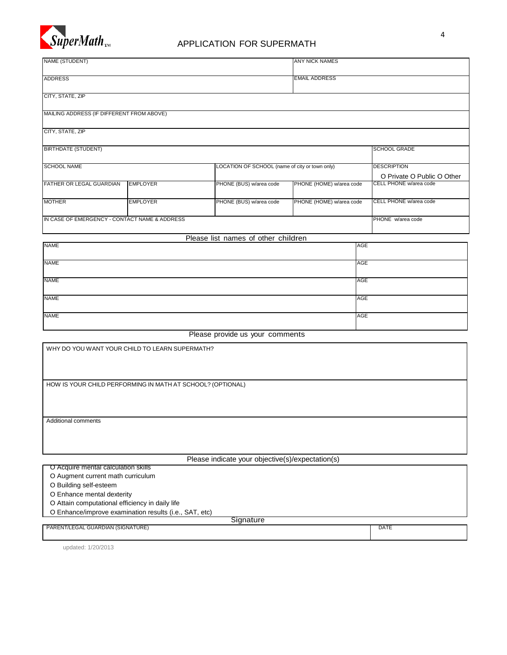

### APPLICATION FOR SUPERMATH

| NAME (STUDENT)                                |                 |                                                | <b>ANY NICK NAMES</b>    |                                                      |
|-----------------------------------------------|-----------------|------------------------------------------------|--------------------------|------------------------------------------------------|
|                                               |                 |                                                |                          |                                                      |
| <b>ADDRESS</b>                                |                 |                                                | <b>EMAIL ADDRESS</b>     |                                                      |
| CITY, STATE, ZIP                              |                 |                                                |                          |                                                      |
|                                               |                 |                                                |                          |                                                      |
| MAILING ADDRESS (IF DIFFERENT FROM ABOVE)     |                 |                                                |                          |                                                      |
| CITY, STATE, ZIP                              |                 |                                                |                          |                                                      |
|                                               |                 |                                                |                          |                                                      |
| <b>BIRTHDATE (STUDENT)</b>                    |                 |                                                |                          | <b>SCHOOL GRADE</b>                                  |
| <b>SCHOOL NAME</b>                            |                 | LOCATION OF SCHOOL (name of city or town only) |                          | <b>DESCRIPTION</b>                                   |
|                                               |                 |                                                |                          |                                                      |
| FATHER OR LEGAL GUARDIAN                      | <b>EMPLOYER</b> | PHONE (BUS) w/area code                        | PHONE (HOME) w/area code | O Private O Public O Other<br>CELL PHONE w/area code |
| <b>MOTHER</b>                                 | <b>EMPLOYER</b> | PHONE (BUS) w/area code                        | PHONE (HOME) w/area code | CELL PHONE w/area code                               |
|                                               |                 |                                                |                          |                                                      |
| IN CASE OF EMERGENCY - CONTACT NAME & ADDRESS |                 |                                                |                          | PHONE w/area code                                    |
|                                               |                 |                                                |                          |                                                      |
| <b>NAME</b>                                   |                 | Please list names of other children            | AGE                      |                                                      |
|                                               |                 |                                                |                          |                                                      |
| <b>NAME</b>                                   |                 |                                                | <b>AGE</b>               |                                                      |
|                                               |                 |                                                |                          |                                                      |
| <b>NAME</b>                                   |                 |                                                | <b>AGE</b>               |                                                      |

| <b>NAME</b> | AGE |
|-------------|-----|

Please provide us your comments

NAME AGE AND A SERVICE AND A SERVICE AND A SERVICE AND A SERVICE AND A SERVICE AND A SERVICE AND A SERVICE AND

WHY DO YOU WANT YOUR CHILD TO LEARN SUPERMATH?

HOW IS YOUR CHILD PERFORMING IN MATH AT SCHOOL? (OPTIONAL)

Additional comments

Please indicate your objective(s)/expectation(s)

O Acquire mental calculation skills O Augment current math curriculum O Building self-esteem O Enhance mental dexterity O Attain computational efficiency in daily life O Enhance/improve examination results (i.e., SAT, etc) **Signature** PARENT/LEGAL GUARDIAN (SIGNATURE) DATE

updated: 1/20/2013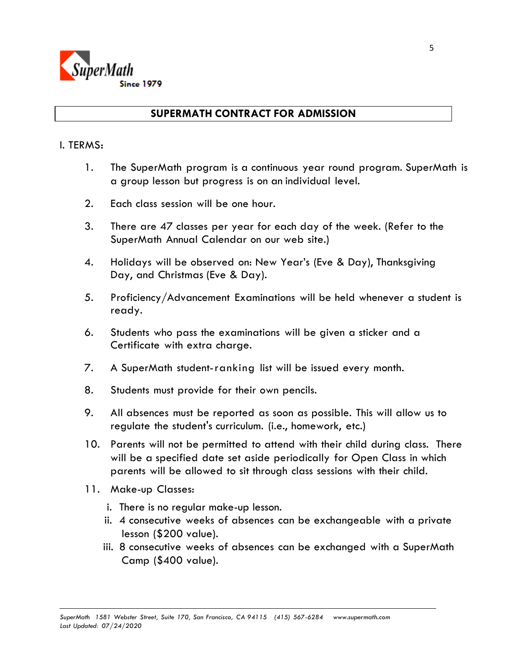

### **SUPERMATH CONTRACT FOR ADMISSION**

#### I. TERMS:

- 1. The SuperMath program is a continuous year round program. SuperMath is a group lesson but progress is on an individual level.
- 2. Each class session will be one hour.
- 3. There are 47 classes per year for each day of the week. (Refer to the SuperMath Annual Calendar on our web site.)
- 4. Holidays will be observed on: New Year's (Eve & Day), Thanksgiving Day, and Christmas (Eve & Day).
- 5. Proficiency/Advancement Examinations will be held whenever a student is ready.
- 6. Students who pass the examinations will be given a sticker and a Certificate with extra charge.
- 7. A SuperMath student-ranking list will be issued every month.
- 8. Students must provide for their own pencils.
- 9. All absences must be reported as soon as possible. This will allow us to regulate the student's curriculum. (i.e., homework, etc.)
- 10. Parents will not be permitted to attend with their child during class. There will be a specified date set aside periodically for Open Class in which parents will be allowed to sit through class sessions with their child.
- 11. Make-up Classes:
	- i. There is no regular make-up lesson.
	- ii. 4 consecutive weeks of absences can be exchangeable with a private lesson (\$200 value).
	- iii. 8 consecutive weeks of absences can be exchanged with a SuperMath Camp (\$400 value).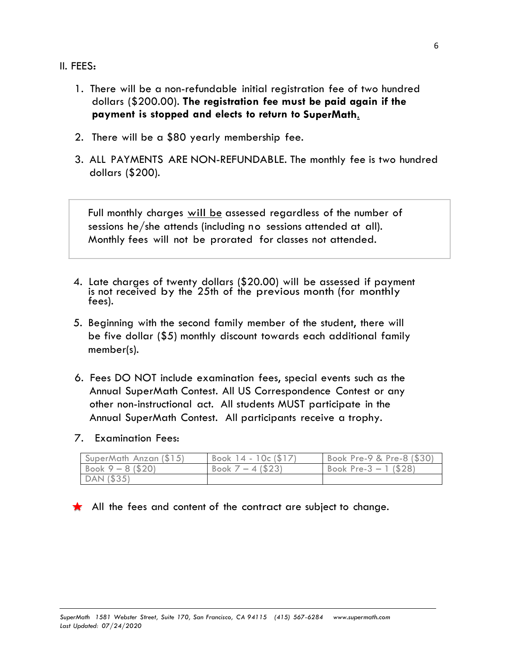- II. FEES:
	- 1. There will be a non-refundable initial registration fee of two hundred dollars (\$200.00). **The registration fee must be paid again if the payment is stopped and elects to return to SuperMath**.
	- 2. There will be a \$80 yearly membership fee.
	- 3. ALL PAYMENTS ARE NON-REFUNDABLE. The monthly fee is two hundred dollars (\$200).

Full monthly charges will be assessed regardless of the number of sessions he/she attends (including no sessions attended at all). Monthly fees will not be prorated for classes not attended.

- 4. Late charges of twenty dollars (\$20.00) will be assessed if payment is not received by the 25th of the previous month (for monthly fees).
- 5. Beginning with the second family member of the student, there will be five dollar (\$5) monthly discount towards each additional family member(s).
- 6. Fees DO NOT include examination fees, special events such as the Annual SuperMath Contest. All US Correspondence Contest or any other non-instructional act. All students MUST participate in the Annual SuperMath Contest. All participants receive a trophy.
- 7. Examination Fees:

| SuperMath Anzan (\$15)        | Book $14 - 10c(17)$ | Book Pre-9 & Pre-8 (\$30) |
|-------------------------------|---------------------|---------------------------|
| $\sqrt{60}$ Book 9 – 8 (\$20) | Book $7 - 4$ (\$23) | Book Pre- $3 - 1$ (\$28)  |
| $\vert$ DAN (\$35)            |                     |                           |

All the fees and content of the contract are subject to change.